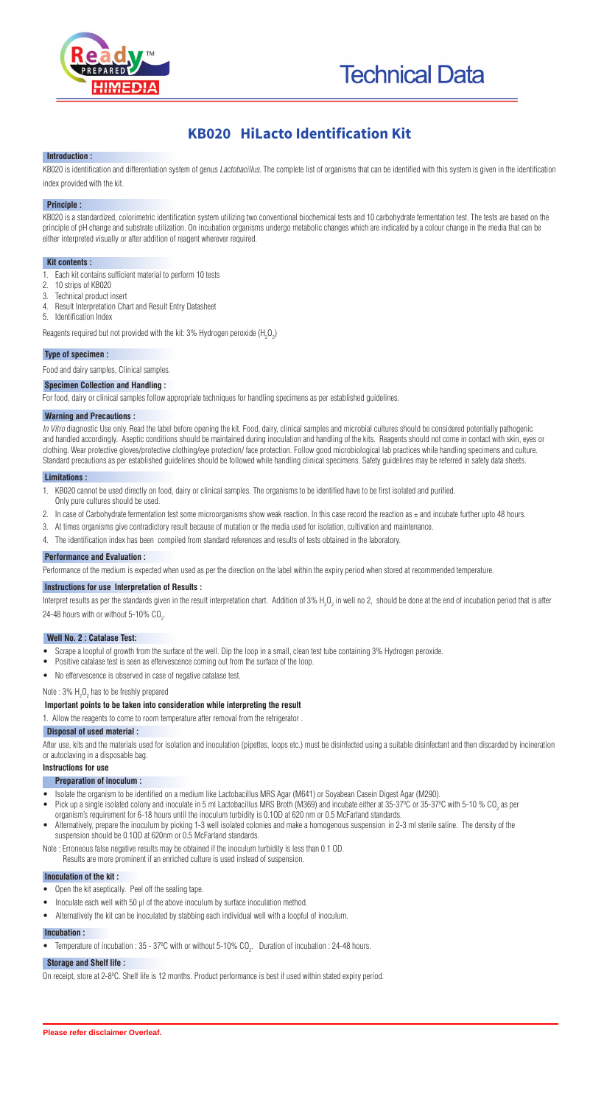



# **KB020 HiLacto Identification Kit**

### **Introduction :**

KB020 is identification and differentiation system of genus Lactobacillus. The complete list of organisms that can be identified with this system is given in the identification index provided with the kit.

# **Principle :**

KB020 is a standardized, colorimetric identification system utilizing two conventional biochemical tests and 10 carbohydrate fermentation test. The tests are based on the principle of pH change and substrate utilization. On incubation organisms undergo metabolic changes which are indicated by a colour change in the media that can be either interpreted visually or after addition of reagent wherever required.

### **Kit contents :**

- 1. Each kit contains sufficient material to perform 10 tests
- 2. 10 strips of KB020
- 3. Technical product insert
- 4. Result Interpretation Chart and Result Entry Datasheet
- 5. Identification Index

Reagents required but not provided with the kit: 3% Hydrogen peroxide (H<sub>2</sub>O<sub>2</sub>)

In Vitro diagnostic Use only. Read the label before opening the kit. Food, dairy, clinical samples and microbial cultures should be considered potentially pathogenic and handled accordingly. Aseptic conditions should be maintained during inoculation and handling of the kits. Reagents should not come in contact with skin, eyes or clothing. Wear protective gloves/protective clothing/eye protection/ face protection. Follow good microbiological lab practices while handling specimens and culture. Standard precautions as per established guidelines should be followed while handling clinical specimens. Safety guidelines may be referred in safety data sheets.

# **Type of specimen :**

Food and dairy samples, Clinical samples.

# **Specimen Collection and Handling :**

For food, dairy or clinical samples follow appropriate techniques for handling specimens as per established guidelines.

# **Warning and Precautions :**

### **Limitations :**

- 1. KB020 cannot be used directly on food, dairy or clinical samples. The organisms to be identified have to be first isolated and purified.
- Only pure cultures should be used.
- 2. In case of Carbohydrate fermentation test some microorganisms show weak reaction. In this case record the reaction as  $\pm$  and incubate further upto 48 hours.
- 3. At times organisms give contradictory result because of mutation or the media used for isolation, cultivation and maintenance.
- 4. The identification index has been compiled from standard references and results of tests obtained in the laboratory.

# **Performance and Evaluation :**

Performance of the medium is expected when used as per the direction on the label within the expiry period when stored at recommended temperature.

# **Instructions for use Interpretation of Results :**

Interpret results as per the standards given in the result interpretation chart. Addition of 3% H<sub>2</sub>O<sub>2</sub> in well no 2, should be done at the end of incubation period that is after 24-48 hours with or without 5-10%  $CO<sub>2</sub>$ .

# **Well No. 2 : Catalase Test:**

- · Scrape a loopful of growth from the surface of the well. Dip the loop in a small, clean test tube containing 3% Hydrogen peroxide.
- · Positive catalase test is seen as effervescence coming out from the surface of the loop.
- · No effervescence is observed in case of negative catalase test.

# Note : 3%  $H_2O_2$  has to be freshly prepared

# **Important points to be taken into consideration while interpreting the result**

1. Allow the reagents to come to room temperature after removal from the refrigerator .

### **Disposal of used material :**

After use, kits and the materials used for isolation and inoculation (pipettes, loops etc.) must be disinfected using a suitable disinfectant and then discarded by incineration or autoclaving in a disposable bag.

### **Instructions for use**

### **Preparation of inoculum :**

- · Isolate the organism to be identified on a medium like Lactobacillus MRS Agar (M641) or Soyabean Casein Digest Agar (M290).
- Pick up a single isolated colony and inoculate in 5 ml Lactobacillus MRS Broth (M369) and incubate either at 35-37°C or 35-37°C with 5-10 % CO<sub>2</sub> as per organism's requirement for 6-18 hours until the inoculum turbidity is 0.1OD at 620 nm or 0.5 McFarland standards.
- Alternatively, prepare the inoculum by picking 1-3 well isolated colonies and make a homogenous suspension in 2-3 ml sterile saline. The density of the suspension should be 0.1OD at 620nm or 0.5 McFarland standards.

Note : Erroneous false negative results may be obtained if the inoculum turbidity is less than 0.1 OD. Results are more prominent if an enriched culture is used instead of suspension.

# **Inoculation of the kit :**

- · Open the kit aseptically. Peel off the sealing tape.
- Inoculate each well with 50 µl of the above inoculum by surface inoculation method.
- · Alternatively the kit can be inoculated by stabbing each individual well with a loopful of inoculum.

# **Incubation :**

• Temperature of incubation :  $35$  -  $37^{\circ}$ C with or without  $5$ -10% CO<sub>2</sub>. Duration of incubation : 24-48 hours.

#### **Storage and Shelf life :**

On receipt, store at 2-8<sup>o</sup>C. Shelf life is 12 months. Product performance is best if used within stated expiry period.

**Please refer disclaimer Overleaf.**